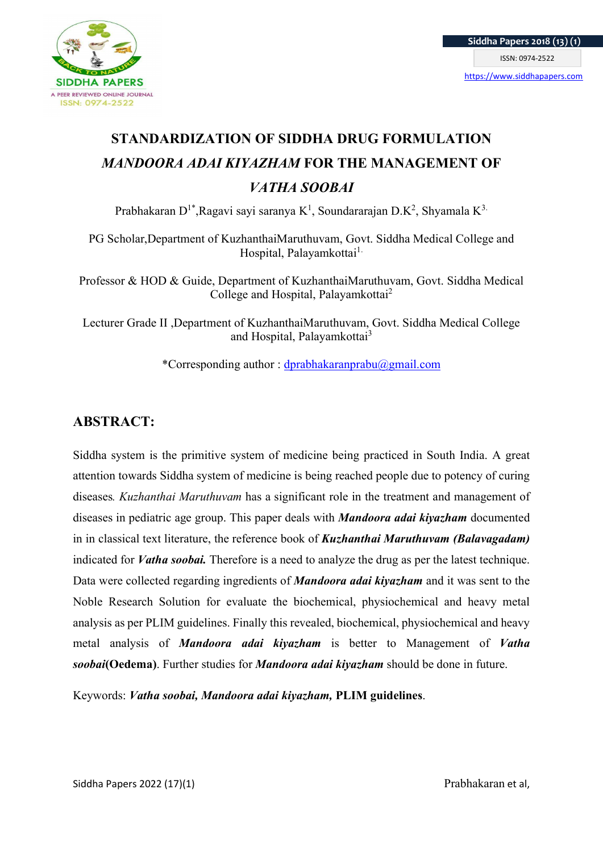

# STANDARDIZATION OF SIDDHA DRUG FORMULATION MANDOORA ADAI KIYAZHAM FOR THE MANAGEMENT OF VATHA SOOBAI

Prabhakaran D<sup>1\*</sup>,Ragavi sayi saranya K<sup>1</sup>, Soundararajan D.K<sup>2</sup>, Shyamala K<sup>3.</sup>

PG Scholar,Department of KuzhanthaiMaruthuvam, Govt. Siddha Medical College and Hospital, Palayamkottai<sup>1.</sup>

Professor & HOD & Guide, Department of KuzhanthaiMaruthuvam, Govt. Siddha Medical College and Hospital, Palayamkottai<sup>2</sup>

Lecturer Grade II ,Department of KuzhanthaiMaruthuvam, Govt. Siddha Medical College and Hospital, Palayamkottai<sup>3</sup>

\*Corresponding author : dprabhakaranprabu@gmail.com

# ABSTRACT:

Siddha system is the primitive system of medicine being practiced in South India. A great attention towards Siddha system of medicine is being reached people due to potency of curing diseases. Kuzhanthai Maruthuvam has a significant role in the treatment and management of diseases in pediatric age group. This paper deals with **Mandoora adai kiyazham** documented in in classical text literature, the reference book of **Kuzhanthai Maruthuvam (Balavagadam)** indicated for *Vatha soobai*. Therefore is a need to analyze the drug as per the latest technique. Data were collected regarding ingredients of **Mandoora adai kiyazham** and it was sent to the Noble Research Solution for evaluate the biochemical, physiochemical and heavy metal analysis as per PLIM guidelines. Finally this revealed, biochemical, physiochemical and heavy metal analysis of Mandoora adai kiyazham is better to Management of Vatha soobai(Oedema). Further studies for Mandoora adai kiyazham should be done in future.

Keywords: Vatha soobai, Mandoora adai kiyazham, PLIM guidelines.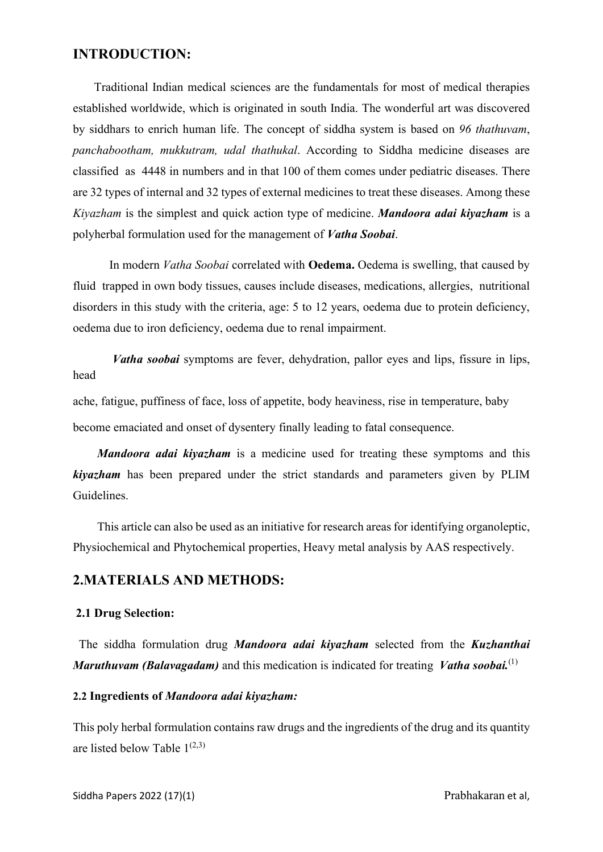# INTRODUCTION:

 Traditional Indian medical sciences are the fundamentals for most of medical therapies established worldwide, which is originated in south India. The wonderful art was discovered by siddhars to enrich human life. The concept of siddha system is based on 96 thathuvam, panchabootham, mukkutram, udal thathukal. According to Siddha medicine diseases are classified as 4448 in numbers and in that 100 of them comes under pediatric diseases. There are 32 types of internal and 32 types of external medicines to treat these diseases. Among these Kiyazham is the simplest and quick action type of medicine. Mandoora adai kiyazham is a polyherbal formulation used for the management of Vatha Soobai.

In modern *Vatha Soobai* correlated with **Oedema**. Oedema is swelling, that caused by fluid trapped in own body tissues, causes include diseases, medications, allergies, nutritional disorders in this study with the criteria, age: 5 to 12 years, oedema due to protein deficiency, oedema due to iron deficiency, oedema due to renal impairment.

Vatha soobai symptoms are fever, dehydration, pallor eyes and lips, fissure in lips, head

ache, fatigue, puffiness of face, loss of appetite, body heaviness, rise in temperature, baby become emaciated and onset of dysentery finally leading to fatal consequence.

Mandoora adai kiyazham is a medicine used for treating these symptoms and this kiyazham has been prepared under the strict standards and parameters given by PLIM Guidelines.

 This article can also be used as an initiative for research areas for identifying organoleptic, Physiochemical and Phytochemical properties, Heavy metal analysis by AAS respectively.

# 2.MATERIALS AND METHODS:

#### 2.1 Drug Selection:

The siddha formulation drug Mandoora adai kiyazham selected from the Kuzhanthai **Maruthuvam (Balavagadam)** and this medication is indicated for treating *Vatha soobai.*<sup>(1)</sup>

#### 2.2 Ingredients of Mandoora adai kiyazham:

This poly herbal formulation contains raw drugs and the ingredients of the drug and its quantity are listed below Table  $1^{(2,3)}$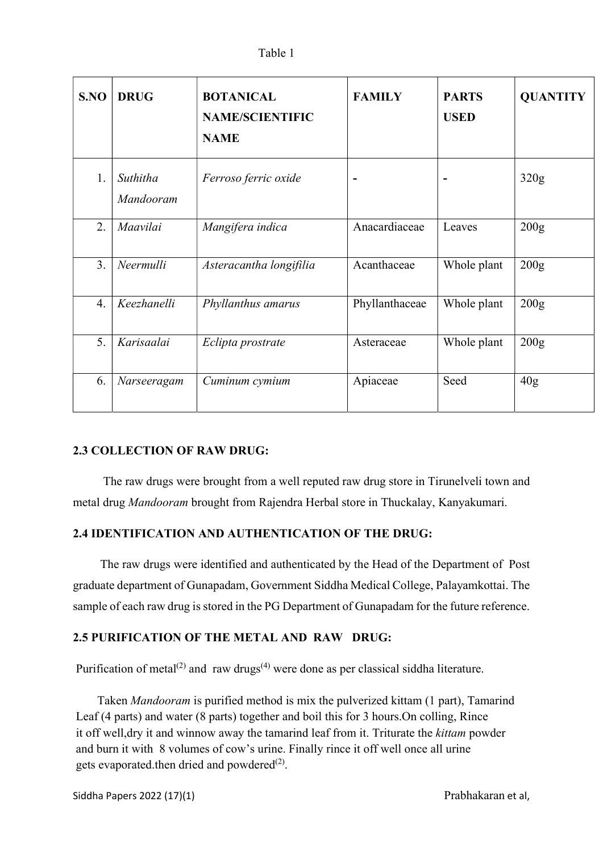|  | Table 1 |
|--|---------|
|--|---------|

| S.NO | <b>DRUG</b>           | <b>BOTANICAL</b><br><b>NAME/SCIENTIFIC</b><br><b>NAME</b> | <b>FAMILY</b>  | <b>PARTS</b><br><b>USED</b> | <b>QUANTITY</b>  |
|------|-----------------------|-----------------------------------------------------------|----------------|-----------------------------|------------------|
| 1.   | Suthitha<br>Mandooram | Ferroso ferric oxide                                      | ۰              |                             | 320g             |
| 2.   | Maavilai              | Mangifera indica                                          | Anacardiaceae  | Leaves                      | 200 <sub>g</sub> |
| 3.   | Neermulli             | Asteracantha longifilia                                   | Acanthaceae    | Whole plant                 | 200g             |
| 4.   | Keezhanelli           | Phyllanthus amarus                                        | Phyllanthaceae | Whole plant                 | 200g             |
| 5.   | Karisaalai            | Eclipta prostrate                                         | Asteraceae     | Whole plant                 | 200g             |
| 6.   | Narseeragam           | Cuminum cymium                                            | Apiaceae       | Seed                        | 40g              |

# 2.3 COLLECTION OF RAW DRUG:

 The raw drugs were brought from a well reputed raw drug store in Tirunelveli town and metal drug Mandooram brought from Rajendra Herbal store in Thuckalay, Kanyakumari.

# 2.4 IDENTIFICATION AND AUTHENTICATION OF THE DRUG:

 The raw drugs were identified and authenticated by the Head of the Department of Post graduate department of Gunapadam, Government Siddha Medical College, Palayamkottai. The sample of each raw drug is stored in the PG Department of Gunapadam for the future reference.

# 2.5 PURIFICATION OF THE METAL AND RAW DRUG:

Purification of metal<sup>(2)</sup> and raw drugs<sup>(4)</sup> were done as per classical siddha literature.

 Taken Mandooram is purified method is mix the pulverized kittam (1 part), Tamarind Leaf (4 parts) and water (8 parts) together and boil this for 3 hours.On colling, Rince it off well,dry it and winnow away the tamarind leaf from it. Triturate the *kittam* powder and burn it with 8 volumes of cow's urine. Finally rince it off well once all urine gets evaporated.then dried and powdered<sup>(2)</sup>.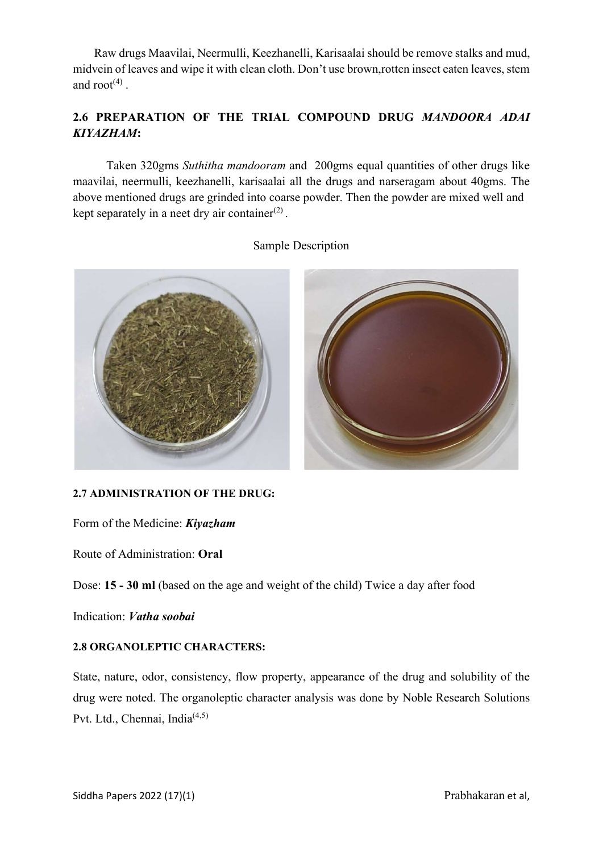Raw drugs Maavilai, Neermulli, Keezhanelli, Karisaalai should be remove stalks and mud, midvein of leaves and wipe it with clean cloth. Don't use brown,rotten insect eaten leaves, stem and  $root<sup>(4)</sup>$ .

# 2.6 PREPARATION OF THE TRIAL COMPOUND DRUG MANDOORA ADAI KIYAZHAM:

 Taken 320gms Suthitha mandooram and 200gms equal quantities of other drugs like maavilai, neermulli, keezhanelli, karisaalai all the drugs and narseragam about 40gms. The above mentioned drugs are grinded into coarse powder. Then the powder are mixed well and kept separately in a neet dry air container $(2)$ .

# Sample Description



# 2.7 ADMINISTRATION OF THE DRUG:

Form of the Medicine: Kiyazham

Route of Administration: Oral

Dose: 15 - 30 ml (based on the age and weight of the child) Twice a day after food

Indication: Vatha soobai

# 2.8 ORGANOLEPTIC CHARACTERS:

State, nature, odor, consistency, flow property, appearance of the drug and solubility of the drug were noted. The organoleptic character analysis was done by Noble Research Solutions Pvt. Ltd., Chennai, India<sup>(4,5)</sup>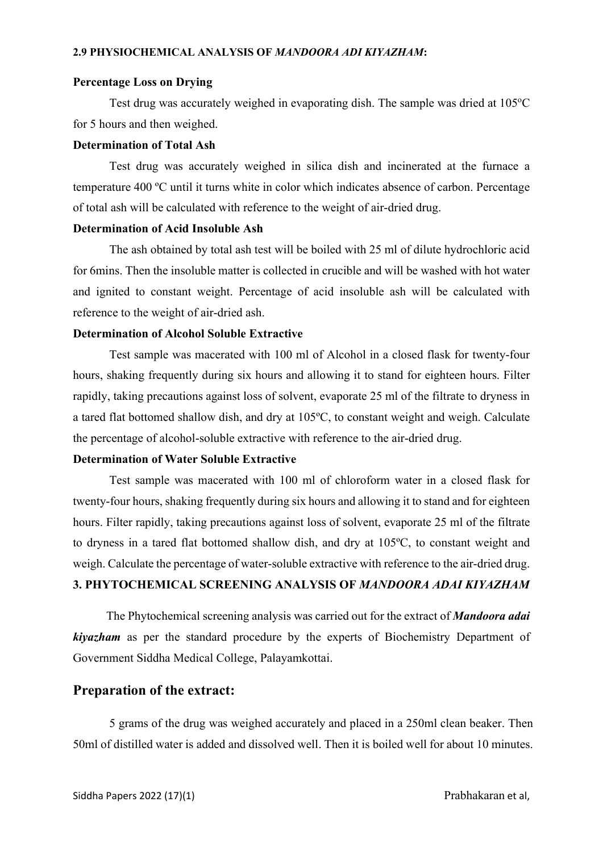#### Percentage Loss on Drying

Test drug was accurately weighed in evaporating dish. The sample was dried at  $105^{\circ}$ C for 5 hours and then weighed.

#### Determination of Total Ash

Test drug was accurately weighed in silica dish and incinerated at the furnace a temperature 400 ºC until it turns white in color which indicates absence of carbon. Percentage of total ash will be calculated with reference to the weight of air-dried drug.

### Determination of Acid Insoluble Ash

The ash obtained by total ash test will be boiled with 25 ml of dilute hydrochloric acid for 6mins. Then the insoluble matter is collected in crucible and will be washed with hot water and ignited to constant weight. Percentage of acid insoluble ash will be calculated with reference to the weight of air-dried ash.

#### Determination of Alcohol Soluble Extractive

Test sample was macerated with 100 ml of Alcohol in a closed flask for twenty-four hours, shaking frequently during six hours and allowing it to stand for eighteen hours. Filter rapidly, taking precautions against loss of solvent, evaporate 25 ml of the filtrate to dryness in a tared flat bottomed shallow dish, and dry at 105ºC, to constant weight and weigh. Calculate the percentage of alcohol-soluble extractive with reference to the air-dried drug.

# Determination of Water Soluble Extractive

Test sample was macerated with 100 ml of chloroform water in a closed flask for twenty-four hours, shaking frequently during six hours and allowing it to stand and for eighteen hours. Filter rapidly, taking precautions against loss of solvent, evaporate 25 ml of the filtrate to dryness in a tared flat bottomed shallow dish, and dry at 105ºC, to constant weight and weigh. Calculate the percentage of water-soluble extractive with reference to the air-dried drug. 3. PHYTOCHEMICAL SCREENING ANALYSIS OF MANDOORA ADAI KIYAZHAM

The Phytochemical screening analysis was carried out for the extract of **Mandoora adai** kiyazham as per the standard procedure by the experts of Biochemistry Department of Government Siddha Medical College, Palayamkottai.

#### Preparation of the extract:

5 grams of the drug was weighed accurately and placed in a 250ml clean beaker. Then 50ml of distilled water is added and dissolved well. Then it is boiled well for about 10 minutes.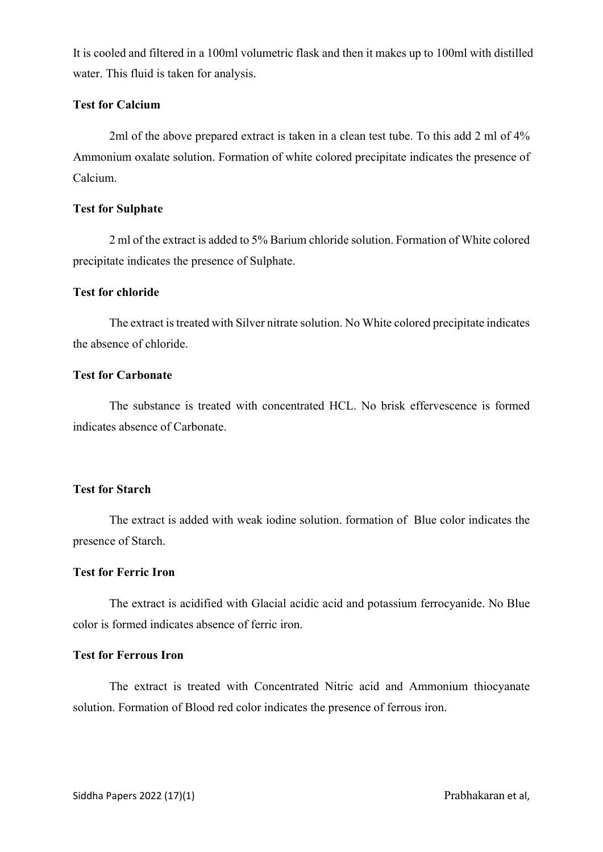It is cooled and filtered in a 100ml volumetric flask and then it makes up to 100ml with distilled water. This fluid is taken for analysis.

# Test for Calcium

2ml of the above prepared extract is taken in a clean test tube. To this add 2 ml of 4% Ammonium oxalate solution. Formation of white colored precipitate indicates the presence of Calcium.

#### Test for Sulphate

2 ml of the extract is added to 5% Barium chloride solution. Formation of White colored precipitate indicates the presence of Sulphate.

# Test for chloride

The extract is treated with Silver nitrate solution. No White colored precipitate indicates the absence of chloride.

# Test for Carbonate

The substance is treated with concentrated HCL. No brisk effervescence is formed indicates absence of Carbonate.

# Test for Starch

The extract is added with weak iodine solution. formation of Blue color indicates the presence of Starch.

#### Test for Ferric Iron

The extract is acidified with Glacial acidic acid and potassium ferrocyanide. No Blue color is formed indicates absence of ferric iron.

#### Test for Ferrous Iron

The extract is treated with Concentrated Nitric acid and Ammonium thiocyanate solution. Formation of Blood red color indicates the presence of ferrous iron.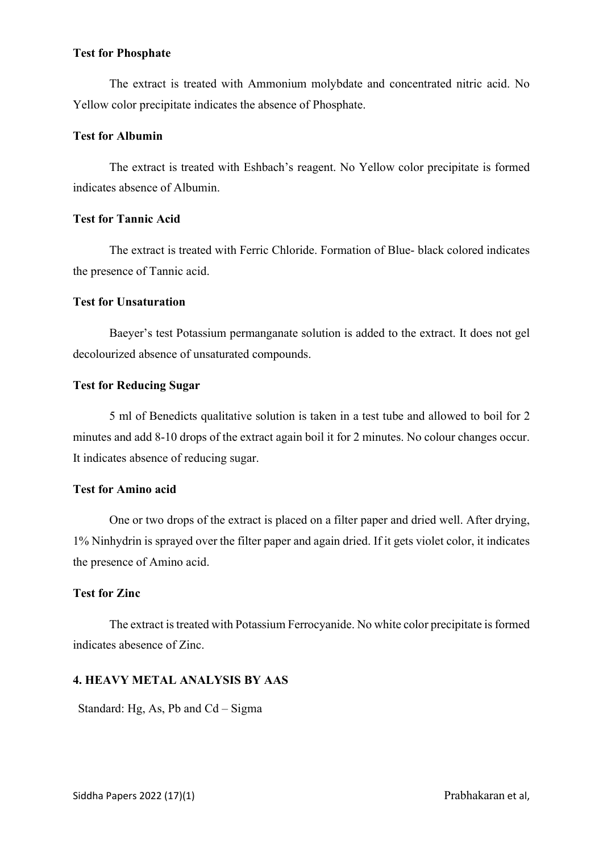#### Test for Phosphate

The extract is treated with Ammonium molybdate and concentrated nitric acid. No Yellow color precipitate indicates the absence of Phosphate.

### Test for Albumin

The extract is treated with Eshbach's reagent. No Yellow color precipitate is formed indicates absence of Albumin.

### Test for Tannic Acid

The extract is treated with Ferric Chloride. Formation of Blue- black colored indicates the presence of Tannic acid.

#### Test for Unsaturation

Baeyer's test Potassium permanganate solution is added to the extract. It does not gel decolourized absence of unsaturated compounds.

#### Test for Reducing Sugar

5 ml of Benedicts qualitative solution is taken in a test tube and allowed to boil for 2 minutes and add 8-10 drops of the extract again boil it for 2 minutes. No colour changes occur. It indicates absence of reducing sugar.

# Test for Amino acid

One or two drops of the extract is placed on a filter paper and dried well. After drying, 1% Ninhydrin is sprayed over the filter paper and again dried. If it gets violet color, it indicates the presence of Amino acid.

# Test for Zinc

The extract is treated with Potassium Ferrocyanide. No white color precipitate is formed indicates abesence of Zinc.

### 4. HEAVY METAL ANALYSIS BY AAS

Standard: Hg, As, Pb and Cd – Sigma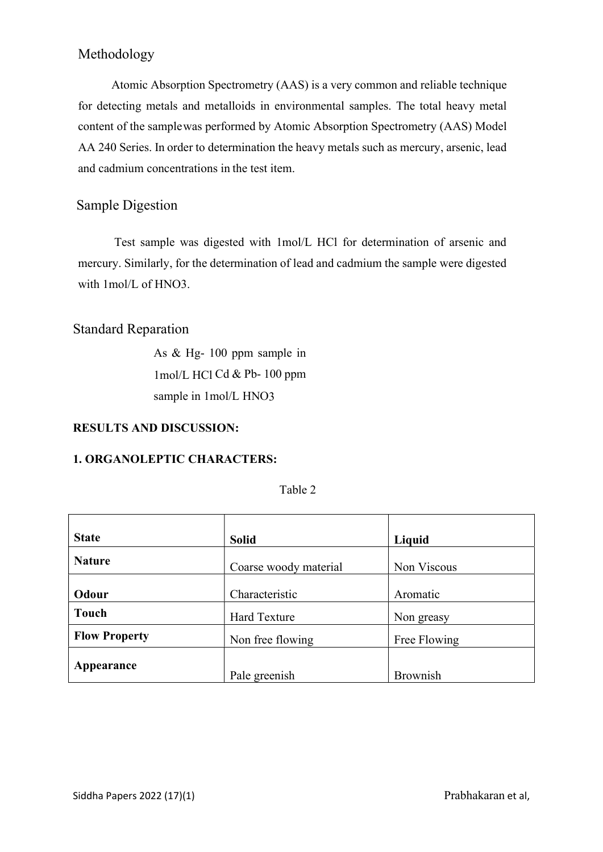# Methodology

 Atomic Absorption Spectrometry (AAS) is a very common and reliable technique for detecting metals and metalloids in environmental samples. The total heavy metal content of the sample was performed by Atomic Absorption Spectrometry (AAS) Model AA 240 Series. In order to determination the heavy metals such as mercury, arsenic, lead and cadmium concentrations in the test item.

# Sample Digestion

Test sample was digested with 1mol/L HCl for determination of arsenic and mercury. Similarly, for the determination of lead and cadmium the sample were digested with 1mol/L of HNO3.

# Standard Reparation

As & Hg- 100 ppm sample in 1mol/L HCl Cd & Pb- 100 ppm sample in 1mol/L HNO3

# RESULTS AND DISCUSSION:

#### 1. ORGANOLEPTIC CHARACTERS:

|  | Table 2 |
|--|---------|
|--|---------|

| <b>State</b>         | <b>Solid</b>          | Liquid          |  |
|----------------------|-----------------------|-----------------|--|
|                      |                       |                 |  |
| <b>Nature</b>        | Coarse woody material | Non Viscous     |  |
|                      |                       |                 |  |
| Odour                | Characteristic        | Aromatic        |  |
| <b>Touch</b>         | <b>Hard Texture</b>   | Non greasy      |  |
| <b>Flow Property</b> | Non free flowing      | Free Flowing    |  |
| Appearance           |                       |                 |  |
|                      | Pale greenish         | <b>Brownish</b> |  |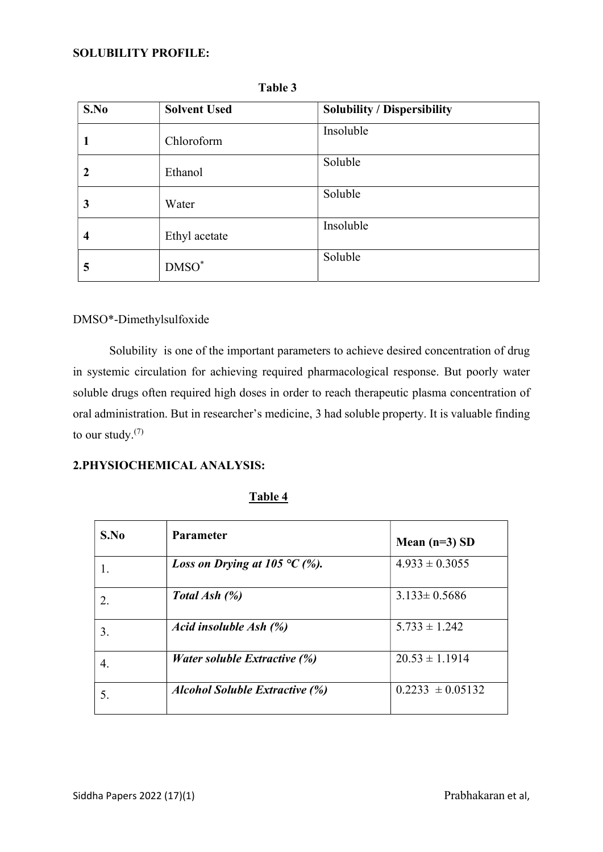| S.No        | <b>Solvent Used</b> | <b>Solubility / Dispersibility</b> |  |
|-------------|---------------------|------------------------------------|--|
|             | Chloroform          | Insoluble                          |  |
| $\mathbf 2$ | Ethanol             | Soluble                            |  |
| 3           | Water               | Soluble                            |  |
| 4           | Ethyl acetate       | Insoluble                          |  |
| 5           | $DMSO^*$            | Soluble                            |  |

Table 3

# DMSO\*-Dimethylsulfoxide

Solubility is one of the important parameters to achieve desired concentration of drug in systemic circulation for achieving required pharmacological response. But poorly water soluble drugs often required high doses in order to reach therapeutic plasma concentration of oral administration. But in researcher's medicine, 3 had soluble property. It is valuable finding to our study. $(7)$ 

### 2.PHYSIOCHEMICAL ANALYSIS:

| S.No | <b>Parameter</b>                         | Mean $(n=3)$ SD      |
|------|------------------------------------------|----------------------|
|      | <i>Loss on Drying at 105</i> °C $(\%)$ . | $4.933 \pm 0.3055$   |
| 2.   | Total Ash $(\%)$                         | $3.133 \pm 0.5686$   |
| 3.   | Acid insoluble Ash (%)                   | $5.733 \pm 1.242$    |
| 4.   | <i>Water soluble Extractive (%)</i>      | $20.53 \pm 1.1914$   |
| 5.   | <b>Alcohol Soluble Extractive (%)</b>    | $0.2233 \pm 0.05132$ |

#### Table 4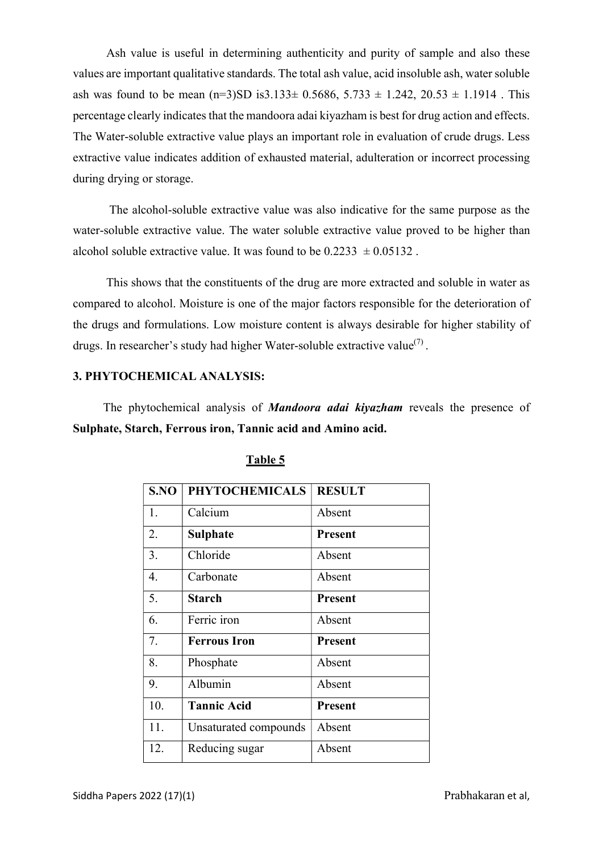Ash value is useful in determining authenticity and purity of sample and also these values are important qualitative standards. The total ash value, acid insoluble ash, water soluble ash was found to be mean  $(n=3)SD$  is 3.133± 0.5686, 5.733 ± 1.242, 20.53 ± 1.1914. This percentage clearly indicates that the mandoora adai kiyazham is best for drug action and effects. The Water-soluble extractive value plays an important role in evaluation of crude drugs. Less extractive value indicates addition of exhausted material, adulteration or incorrect processing during drying or storage.

 The alcohol-soluble extractive value was also indicative for the same purpose as the water-soluble extractive value. The water soluble extractive value proved to be higher than alcohol soluble extractive value. It was found to be  $0.2233 \pm 0.05132$ .

 This shows that the constituents of the drug are more extracted and soluble in water as compared to alcohol. Moisture is one of the major factors responsible for the deterioration of the drugs and formulations. Low moisture content is always desirable for higher stability of drugs. In researcher's study had higher Water-soluble extractive value<sup>(7)</sup>.

### 3. PHYTOCHEMICAL ANALYSIS:

The phytochemical analysis of **Mandoora adai kiyazham** reveals the presence of Sulphate, Starch, Ferrous iron, Tannic acid and Amino acid.

| S.NO | <b>PHYTOCHEMICALS</b> | <b>RESULT</b>  |
|------|-----------------------|----------------|
| 1.   | Calcium               | Absent         |
| 2.   | <b>Sulphate</b>       | <b>Present</b> |
| 3.   | Chloride              | Absent         |
| 4.   | Carbonate             | Absent         |
| 5.   | <b>Starch</b>         | <b>Present</b> |
| 6.   | Ferric iron           | Absent         |
| 7.   | <b>Ferrous Iron</b>   | <b>Present</b> |
| 8.   | Phosphate             | Absent         |
| 9.   | Albumin               | Absent         |
| 10.  | <b>Tannic Acid</b>    | <b>Present</b> |
| 11.  | Unsaturated compounds | Absent         |
| 12.  | Reducing sugar        | Absent         |

# Table 5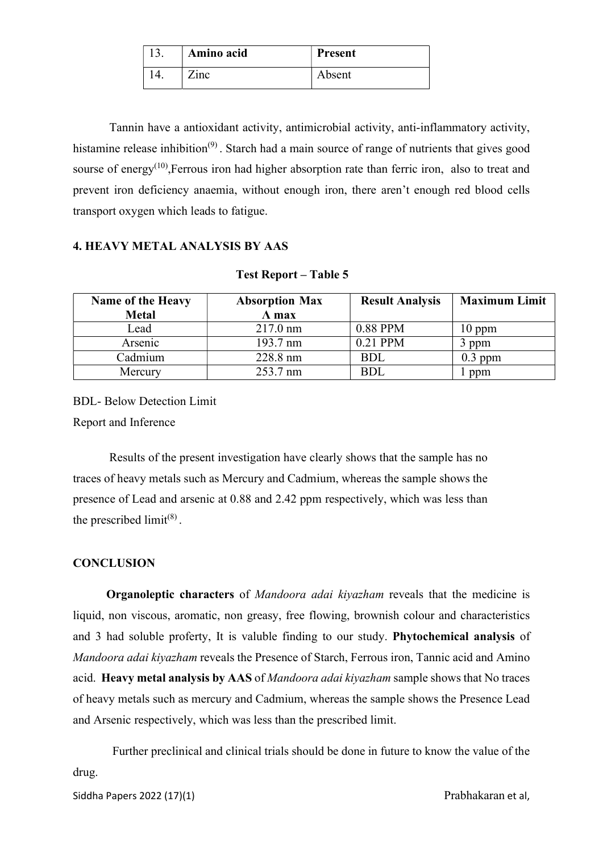| Amino acid | <b>Present</b> |
|------------|----------------|
| $7$ inc    | Absent         |

 Tannin have a antioxidant activity, antimicrobial activity, anti-inflammatory activity, histamine release inhibition<sup>(9)</sup>. Starch had a main source of range of nutrients that gives good sourse of energy<sup> $(10)$ </sup>, Ferrous iron had higher absorption rate than ferric iron, also to treat and prevent iron deficiency anaemia, without enough iron, there aren't enough red blood cells transport oxygen which leads to fatigue.

# 4. HEAVY METAL ANALYSIS BY AAS

| <b>Name of the Heavy</b><br><b>Metal</b> | <b>Absorption Max</b><br>$\Lambda$ max | <b>Result Analysis</b> | <b>Maximum Limit</b> |
|------------------------------------------|----------------------------------------|------------------------|----------------------|
| Lead                                     | $217.0 \text{ nm}$                     | 0.88 PPM               | $10$ ppm             |
| Arsenic                                  | 193.7 nm                               | 0.21 PPM               | 3 ppm                |
| Cadmium                                  | 228.8 nm                               | <b>BDL</b>             | $0.3$ ppm            |
| Mercury                                  | 253.7 nm                               | <b>BDL</b>             | ppm                  |

#### Test Report – Table 5

BDL- Below Detection Limit

Report and Inference

Results of the present investigation have clearly shows that the sample has no traces of heavy metals such as Mercury and Cadmium, whereas the sample shows the presence of Lead and arsenic at 0.88 and 2.42 ppm respectively, which was less than the prescribed  $\text{limit}^{(8)}$ .

# **CONCLUSION**

Organoleptic characters of Mandoora adai kiyazham reveals that the medicine is liquid, non viscous, aromatic, non greasy, free flowing, brownish colour and characteristics and 3 had soluble proferty, It is valuble finding to our study. Phytochemical analysis of Mandoora adai kiyazham reveals the Presence of Starch, Ferrous iron, Tannic acid and Amino acid. Heavy metal analysis by AAS of Mandoora adai kiyazham sample shows that No traces of heavy metals such as mercury and Cadmium, whereas the sample shows the Presence Lead and Arsenic respectively, which was less than the prescribed limit.

 Further preclinical and clinical trials should be done in future to know the value of the drug.

Siddha Papers 2022 (17)(1) et al. and the prabhakaran et al,  $P$ rabhakaran et al,